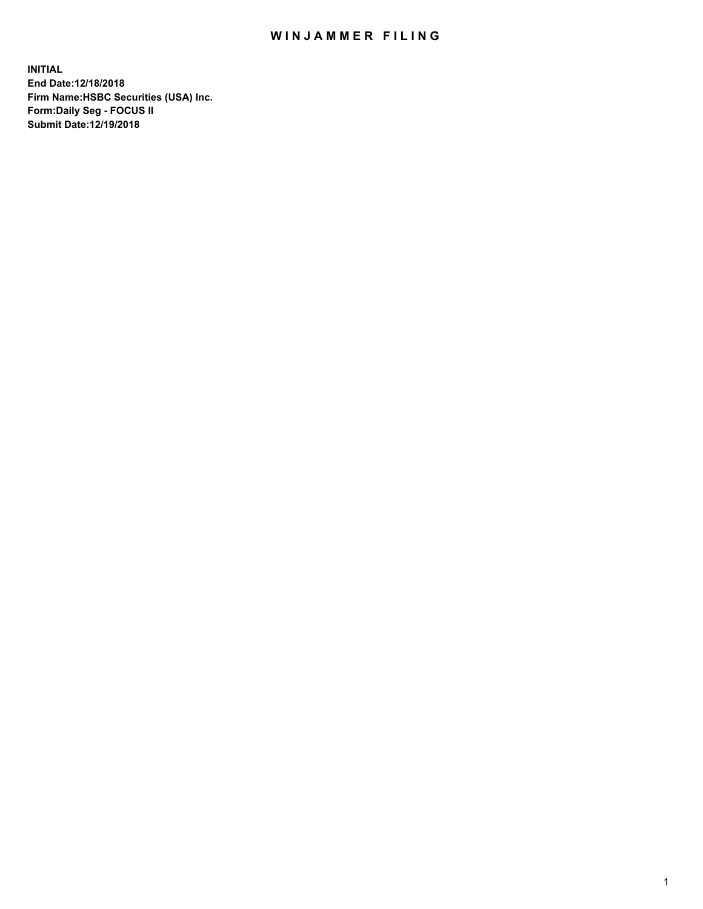## WIN JAMMER FILING

**INITIAL End Date:12/18/2018 Firm Name:HSBC Securities (USA) Inc. Form:Daily Seg - FOCUS II Submit Date:12/19/2018**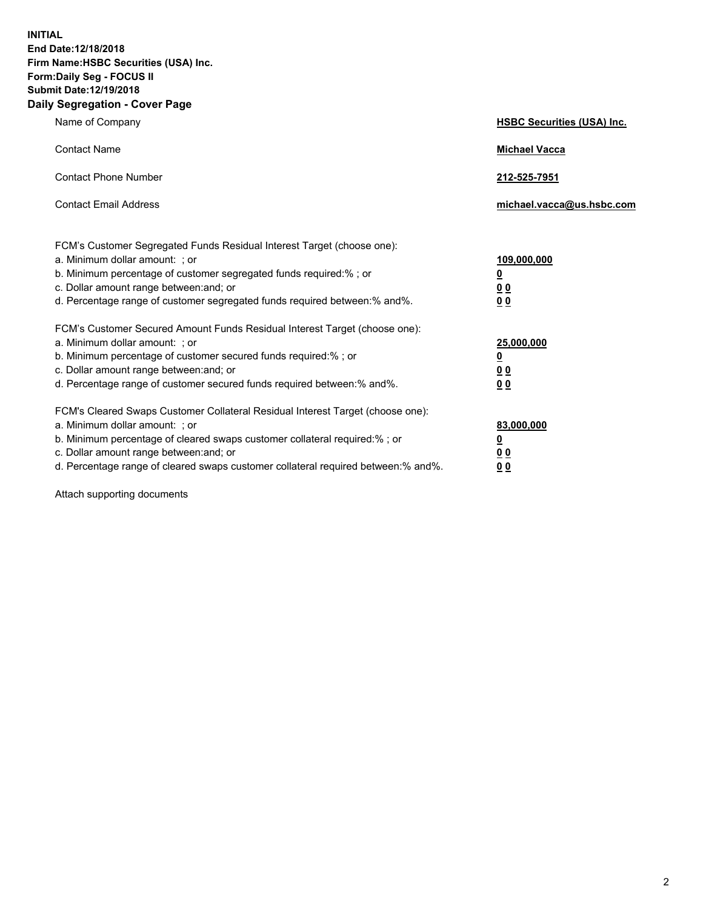**INITIAL End Date:12/18/2018 Firm Name:HSBC Securities (USA) Inc. Form:Daily Seg - FOCUS II Submit Date:12/19/2018 Daily Segregation - Cover Page**

| Name of Company                                                                                                                                                                                                                                                                                                                | <b>HSBC Securities (USA) Inc.</b>                           |
|--------------------------------------------------------------------------------------------------------------------------------------------------------------------------------------------------------------------------------------------------------------------------------------------------------------------------------|-------------------------------------------------------------|
| <b>Contact Name</b>                                                                                                                                                                                                                                                                                                            | <b>Michael Vacca</b>                                        |
| <b>Contact Phone Number</b>                                                                                                                                                                                                                                                                                                    | 212-525-7951                                                |
| <b>Contact Email Address</b>                                                                                                                                                                                                                                                                                                   | michael.vacca@us.hsbc.com                                   |
| FCM's Customer Segregated Funds Residual Interest Target (choose one):<br>a. Minimum dollar amount: ; or<br>b. Minimum percentage of customer segregated funds required:% ; or<br>c. Dollar amount range between: and; or<br>d. Percentage range of customer segregated funds required between:% and%.                         | 109,000,000<br><u>0</u><br>0 <sub>0</sub><br>0 <sub>0</sub> |
| FCM's Customer Secured Amount Funds Residual Interest Target (choose one):<br>a. Minimum dollar amount: ; or<br>b. Minimum percentage of customer secured funds required:% ; or<br>c. Dollar amount range between: and; or<br>d. Percentage range of customer secured funds required between: % and %.                         | 25,000,000<br><u>0</u><br>0 <sub>0</sub><br>0 <sub>0</sub>  |
| FCM's Cleared Swaps Customer Collateral Residual Interest Target (choose one):<br>a. Minimum dollar amount: ; or<br>b. Minimum percentage of cleared swaps customer collateral required:% ; or<br>c. Dollar amount range between: and; or<br>d. Percentage range of cleared swaps customer collateral required between:% and%. | 83,000,000<br><u>0</u><br>00<br>00                          |

Attach supporting documents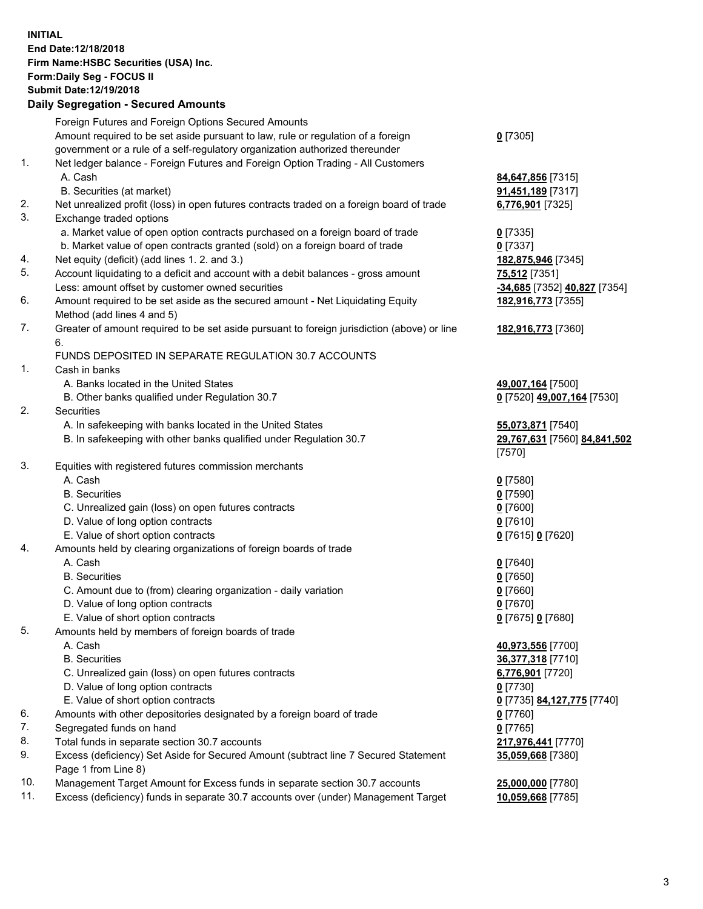**INITIAL End Date:12/18/2018 Firm Name:HSBC Securities (USA) Inc. Form:Daily Seg - FOCUS II Submit Date:12/19/2018**

## **Daily Segregation - Secured Amounts**

|          | Foreign Futures and Foreign Options Secured Amounts                                                        |                                        |
|----------|------------------------------------------------------------------------------------------------------------|----------------------------------------|
|          | Amount required to be set aside pursuant to law, rule or regulation of a foreign                           | $0$ [7305]                             |
|          | government or a rule of a self-regulatory organization authorized thereunder                               |                                        |
| 1.       | Net ledger balance - Foreign Futures and Foreign Option Trading - All Customers                            |                                        |
|          | A. Cash                                                                                                    | 84,647,856 [7315]                      |
|          | B. Securities (at market)                                                                                  | 91,451,189 [7317]                      |
| 2.       | Net unrealized profit (loss) in open futures contracts traded on a foreign board of trade                  | 6,776,901 [7325]                       |
| 3.       | Exchange traded options                                                                                    |                                        |
|          | a. Market value of open option contracts purchased on a foreign board of trade                             | $0$ [7335]                             |
|          | b. Market value of open contracts granted (sold) on a foreign board of trade                               | $0$ [7337]                             |
| 4.       | Net equity (deficit) (add lines 1.2. and 3.)                                                               | 182,875,946 [7345]                     |
| 5.       | Account liquidating to a deficit and account with a debit balances - gross amount                          | 75,512 [7351]                          |
|          | Less: amount offset by customer owned securities                                                           | -34,685 [7352] 40,827 [7354]           |
| 6.       | Amount required to be set aside as the secured amount - Net Liquidating Equity                             | 182,916,773 [7355]                     |
|          | Method (add lines 4 and 5)                                                                                 |                                        |
| 7.       | Greater of amount required to be set aside pursuant to foreign jurisdiction (above) or line<br>6.          | 182,916,773 [7360]                     |
|          | FUNDS DEPOSITED IN SEPARATE REGULATION 30.7 ACCOUNTS                                                       |                                        |
| 1.       | Cash in banks                                                                                              |                                        |
|          | A. Banks located in the United States                                                                      | 49,007,164 [7500]                      |
|          | B. Other banks qualified under Regulation 30.7                                                             | 0 [7520] 49,007,164 [7530]             |
| 2.       | Securities                                                                                                 |                                        |
|          | A. In safekeeping with banks located in the United States                                                  | 55,073,871 [7540]                      |
|          | B. In safekeeping with other banks qualified under Regulation 30.7                                         | 29,767,631 [7560] 84,841,502<br>[7570] |
| 3.       | Equities with registered futures commission merchants                                                      |                                        |
|          | A. Cash                                                                                                    | $0$ [7580]                             |
|          | <b>B.</b> Securities                                                                                       | $0$ [7590]                             |
|          | C. Unrealized gain (loss) on open futures contracts                                                        | $0$ [7600]                             |
|          | D. Value of long option contracts                                                                          | $0$ [7610]                             |
|          | E. Value of short option contracts                                                                         | 0 [7615] 0 [7620]                      |
| 4.       | Amounts held by clearing organizations of foreign boards of trade                                          |                                        |
|          | A. Cash                                                                                                    | $0$ [7640]                             |
|          | <b>B.</b> Securities                                                                                       | $0$ [7650]                             |
|          | C. Amount due to (from) clearing organization - daily variation                                            | $0$ [7660]                             |
|          | D. Value of long option contracts                                                                          | $0$ [7670]                             |
|          | E. Value of short option contracts                                                                         | 0 [7675] 0 [7680]                      |
| 5.       | Amounts held by members of foreign boards of trade                                                         |                                        |
|          | A. Cash                                                                                                    |                                        |
|          | <b>B.</b> Securities                                                                                       | 40,973,556 [7700]<br>36,377,318 [7710] |
|          | C. Unrealized gain (loss) on open futures contracts                                                        |                                        |
|          | D. Value of long option contracts                                                                          | 6,776,901 [7720]                       |
|          |                                                                                                            | $0$ [7730]                             |
| 6.       | E. Value of short option contracts                                                                         | 0 [7735] 84,127,775 [7740]             |
|          | Amounts with other depositories designated by a foreign board of trade                                     | $0$ [7760]                             |
| 7.<br>8. | Segregated funds on hand                                                                                   | $0$ [7765]                             |
|          | Total funds in separate section 30.7 accounts                                                              | 217,976,441 [7770]                     |
| 9.       | Excess (deficiency) Set Aside for Secured Amount (subtract line 7 Secured Statement<br>Page 1 from Line 8) | 35,059,668 [7380]                      |
| 10.      | Management Target Amount for Excess funds in separate section 30.7 accounts                                | 25,000,000 [7780]                      |
| 11.      | Excess (deficiency) funds in separate 30.7 accounts over (under) Management Target                         | 10,059,668 [7785]                      |

3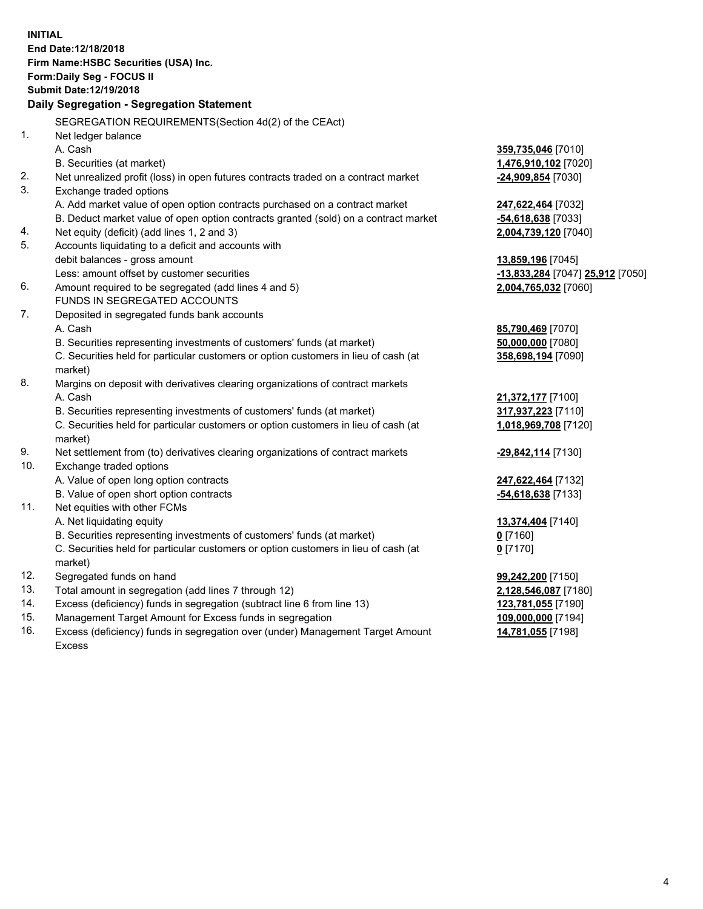|     | <b>INITIAL</b><br>End Date: 12/18/2018<br>Firm Name: HSBC Securities (USA) Inc.<br>Form: Daily Seg - FOCUS II<br>Submit Date: 12/19/2018<br>Daily Segregation - Segregation Statement |                                  |
|-----|---------------------------------------------------------------------------------------------------------------------------------------------------------------------------------------|----------------------------------|
|     | SEGREGATION REQUIREMENTS(Section 4d(2) of the CEAct)                                                                                                                                  |                                  |
| 1.  | Net ledger balance                                                                                                                                                                    |                                  |
|     | A. Cash                                                                                                                                                                               | 359,735,046 [7010]               |
|     | B. Securities (at market)                                                                                                                                                             | 1,476,910,102 [7020]             |
| 2.  | Net unrealized profit (loss) in open futures contracts traded on a contract market                                                                                                    | -24,909,854 [7030]               |
| 3.  | Exchange traded options                                                                                                                                                               |                                  |
|     | A. Add market value of open option contracts purchased on a contract market                                                                                                           | 247,622,464 [7032]               |
|     | B. Deduct market value of open option contracts granted (sold) on a contract market                                                                                                   | -54,618,638 [7033]               |
| 4.  | Net equity (deficit) (add lines 1, 2 and 3)                                                                                                                                           | 2,004,739,120 [7040]             |
| 5.  | Accounts liquidating to a deficit and accounts with                                                                                                                                   |                                  |
|     | debit balances - gross amount                                                                                                                                                         | 13,859,196 [7045]                |
|     | Less: amount offset by customer securities                                                                                                                                            | -13,833,284 [7047] 25,912 [7050] |
| 6.  | Amount required to be segregated (add lines 4 and 5)                                                                                                                                  | 2,004,765,032 [7060]             |
|     | FUNDS IN SEGREGATED ACCOUNTS                                                                                                                                                          |                                  |
| 7.  | Deposited in segregated funds bank accounts                                                                                                                                           |                                  |
|     | A. Cash                                                                                                                                                                               | 85,790,469 [7070]                |
|     | B. Securities representing investments of customers' funds (at market)                                                                                                                | 50,000,000 [7080]                |
|     | C. Securities held for particular customers or option customers in lieu of cash (at                                                                                                   | 358,698,194 [7090]               |
|     | market)                                                                                                                                                                               |                                  |
| 8.  | Margins on deposit with derivatives clearing organizations of contract markets                                                                                                        |                                  |
|     | A. Cash                                                                                                                                                                               | 21,372,177 [7100]                |
|     | B. Securities representing investments of customers' funds (at market)                                                                                                                | 317,937,223 [7110]               |
|     | C. Securities held for particular customers or option customers in lieu of cash (at<br>market)                                                                                        | 1,018,969,708 [7120]             |
| 9.  | Net settlement from (to) derivatives clearing organizations of contract markets                                                                                                       | -29,842,114 [7130]               |
| 10. | Exchange traded options                                                                                                                                                               |                                  |
|     | A. Value of open long option contracts                                                                                                                                                | 247,622,464 [7132]               |
|     | B. Value of open short option contracts                                                                                                                                               | -54,618,638 [7133]               |
| 11. | Net equities with other FCMs                                                                                                                                                          |                                  |
|     | A. Net liquidating equity                                                                                                                                                             | 13,374,404 [7140]                |
|     | B. Securities representing investments of customers' funds (at market)                                                                                                                | $0$ [7160]                       |
|     | C. Securities held for particular customers or option customers in lieu of cash (at<br>market)                                                                                        | $0$ [7170]                       |
| 12. | Segregated funds on hand                                                                                                                                                              | 99,242,200 [7150]                |
| 13. | Total amount in segregation (add lines 7 through 12)                                                                                                                                  | 2,128,546,087 [7180]             |
| 14. | Excess (deficiency) funds in segregation (subtract line 6 from line 13)                                                                                                               | 123,781,055 [7190]               |
| 15. | Management Target Amount for Excess funds in segregation                                                                                                                              | 109,000,000 [7194]               |
| 16. | Excess (deficiency) funds in segregation over (under) Management Target Amount                                                                                                        | 14,781,055 [7198]                |

16. Excess (deficiency) funds in segregation over (under) Management Target Amount Excess